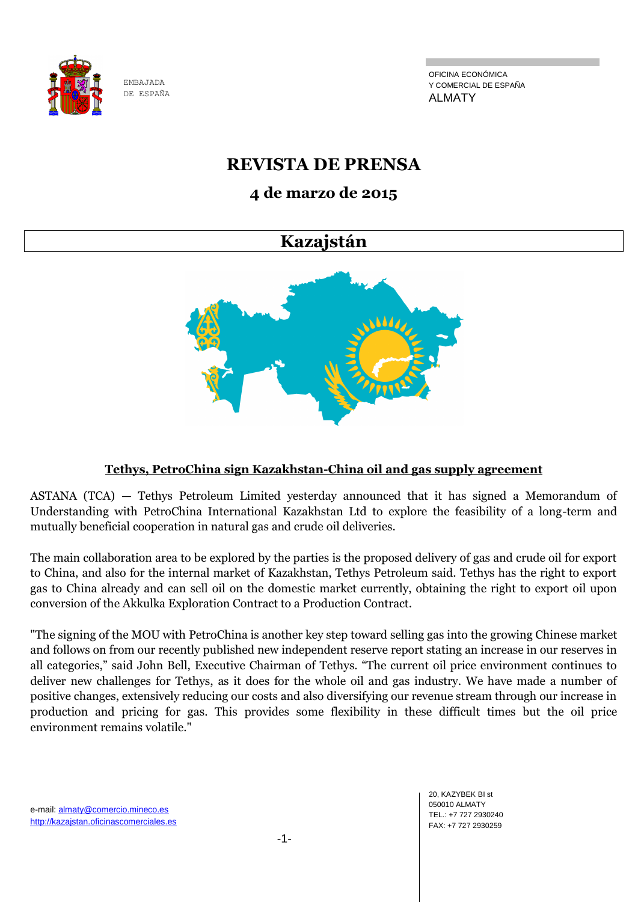

OFICINA ECONÓMICA Y COMERCIAL DE ESPAÑA ALMATY

# **REVISTA DE PRENSA**

## **4 de marzo de 2015**

## **Kazajstán**



## **Tethys, PetroChina sign Kazakhstan-China oil and gas supply agreement**

ASTANA (TCA) — Tethys Petroleum Limited yesterday announced that it has signed a Memorandum of Understanding with PetroChina International Kazakhstan Ltd to explore the feasibility of a long-term and mutually beneficial cooperation in natural gas and crude oil deliveries.

The main collaboration area to be explored by the parties is the proposed delivery of gas and crude oil for export to China, and also for the internal market of Kazakhstan, Tethys Petroleum said. Tethys has the right to export gas to China already and can sell oil on the domestic market currently, obtaining the right to export oil upon conversion of the Akkulka Exploration Contract to a Production Contract.

"The signing of the MOU with PetroChina is another key step toward selling gas into the growing Chinese market and follows on from our recently published new independent reserve report stating an increase in our reserves in all categories," said John Bell, Executive Chairman of Tethys. "The current oil price environment continues to deliver new challenges for Tethys, as it does for the whole oil and gas industry. We have made a number of positive changes, extensively reducing our costs and also diversifying our revenue stream through our increase in production and pricing for gas. This provides some flexibility in these difficult times but the oil price environment remains volatile."

e-mail: almaty@comercio.mineco.es http://kazajstan.oficinascomerciales.es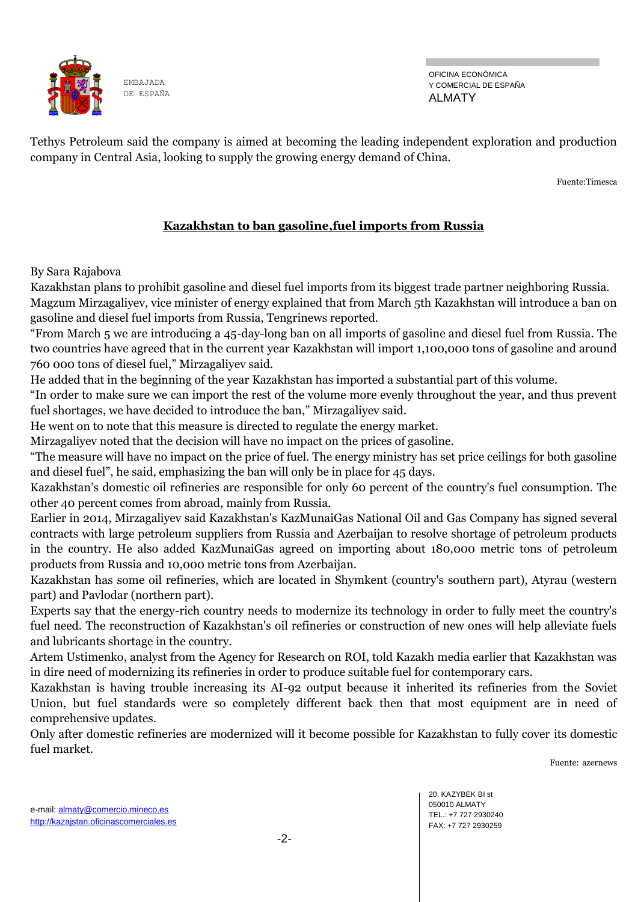

OFICINA ECONÓMICA Y COMERCIAL DE ESPAÑA ALMATY

Tethys Petroleum said the company is aimed at becoming the leading independent exploration and production company in Central Asia, looking to supply the growing energy demand of China.

Fuente:Timesca

## **Kazakhstan to ban gasoline,fuel imports from Russia**

By Sara Rajabova

Kazakhstan plans to prohibit gasoline and diesel fuel imports from its biggest trade partner neighboring Russia. Magzum Mirzagaliyev, vice minister of energy explained that from March 5th Kazakhstan will introduce a ban on gasoline and diesel fuel imports from Russia, Tengrinews reported.

"From March 5 we are introducing a 45-day-long ban on all imports of gasoline and diesel fuel from Russia. The two countries have agreed that in the current year Kazakhstan will import 1,100,000 tons of gasoline and around 760 000 tons of diesel fuel," Mirzagaliyev said.

He added that in the beginning of the year Kazakhstan has imported a substantial part of this volume.

"In order to make sure we can import the rest of the volume more evenly throughout the year, and thus prevent fuel shortages, we have decided to introduce the ban," Mirzagaliyev said.

He went on to note that this measure is directed to regulate the energy market.

Mirzagaliyev noted that the decision will have no impact on the prices of gasoline.

"The measure will have no impact on the price of fuel. The energy ministry has set price ceilings for both gasoline and diesel fuel", he said, emphasizing the ban will only be in place for 45 days.

Kazakhstan's domestic oil refineries are responsible for only 60 percent of the country's fuel consumption. The other 40 percent comes from abroad, mainly from Russia.

Earlier in 2014, Mirzagaliyev said Kazakhstan's KazMunaiGas National Oil and Gas Company has signed several contracts with large petroleum suppliers from Russia and Azerbaijan to resolve shortage of petroleum products in the country. He also added KazMunaiGas agreed on importing about 180,000 metric tons of petroleum products from Russia and 10,000 metric tons from Azerbaijan.

Kazakhstan has some oil refineries, which are located in Shymkent (country's southern part), Atyrau (western part) and Pavlodar (northern part).

Experts say that the energy-rich country needs to modernize its technology in order to fully meet the country's fuel need. The reconstruction of Kazakhstan's oil refineries or construction of new ones will help alleviate fuels and lubricants shortage in the country.

Artem Ustimenko, analyst from the Agency for Research on ROI, told Kazakh media earlier that Kazakhstan was in dire need of modernizing its refineries in order to produce suitable fuel for contemporary cars.

Kazakhstan is having trouble increasing its AI-92 output because it inherited its refineries from the Soviet Union, but fuel standards were so completely different back then that most equipment are in need of comprehensive updates.

Only after domestic refineries are modernized will it become possible for Kazakhstan to fully cover its domestic fuel market.

Fuente: azernews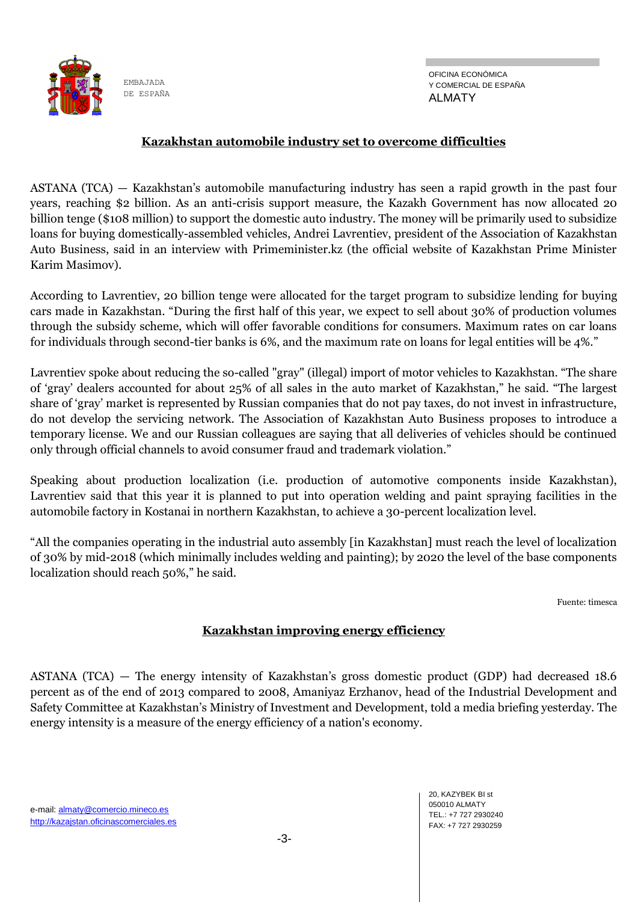

OFICINA ECONÓMICA Y COMERCIAL DE ESPAÑA ALMATY

#### **Kazakhstan automobile industry set to overcome difficulties**

ASTANA (TCA) — Kazakhstan's automobile manufacturing industry has seen a rapid growth in the past four years, reaching \$2 billion. As an anti-crisis support measure, the Kazakh Government has now allocated 20 billion tenge (\$108 million) to support the domestic auto industry. The money will be primarily used to subsidize loans for buying domestically-assembled vehicles, Andrei Lavrentiev, president of the Association of Kazakhstan Auto Business, said in an interview with Primeminister.kz (the official website of Kazakhstan Prime Minister Karim Masimov).

According to Lavrentiev, 20 billion tenge were allocated for the target program to subsidize lending for buying cars made in Kazakhstan. "During the first half of this year, we expect to sell about 30% of production volumes through the subsidy scheme, which will offer favorable conditions for consumers. Maximum rates on car loans for individuals through second-tier banks is 6%, and the maximum rate on loans for legal entities will be 4%."

Lavrentiev spoke about reducing the so-called "gray" (illegal) import of motor vehicles to Kazakhstan. "The share of 'gray' dealers accounted for about 25% of all sales in the auto market of Kazakhstan," he said. "The largest share of 'gray' market is represented by Russian companies that do not pay taxes, do not invest in infrastructure, do not develop the servicing network. The Association of Kazakhstan Auto Business proposes to introduce a temporary license. We and our Russian colleagues are saying that all deliveries of vehicles should be continued only through official channels to avoid consumer fraud and trademark violation."

Speaking about production localization (i.e. production of automotive components inside Kazakhstan), Lavrentiev said that this year it is planned to put into operation welding and paint spraying facilities in the automobile factory in Kostanai in northern Kazakhstan, to achieve a 30-percent localization level.

"All the companies operating in the industrial auto assembly [in Kazakhstan] must reach the level of localization of 30% by mid-2018 (which minimally includes welding and painting); by 2020 the level of the base components localization should reach 50%," he said.

Fuente: timesca

#### **Kazakhstan improving energy efficiency**

ASTANA (TCA) — The energy intensity of Kazakhstan's gross domestic product (GDP) had decreased 18.6 percent as of the end of 2013 compared to 2008, Amaniyaz Erzhanov, head of the Industrial Development and Safety Committee at Kazakhstan's Ministry of Investment and Development, told a media briefing yesterday. The energy intensity is a measure of the energy efficiency of a nation's economy.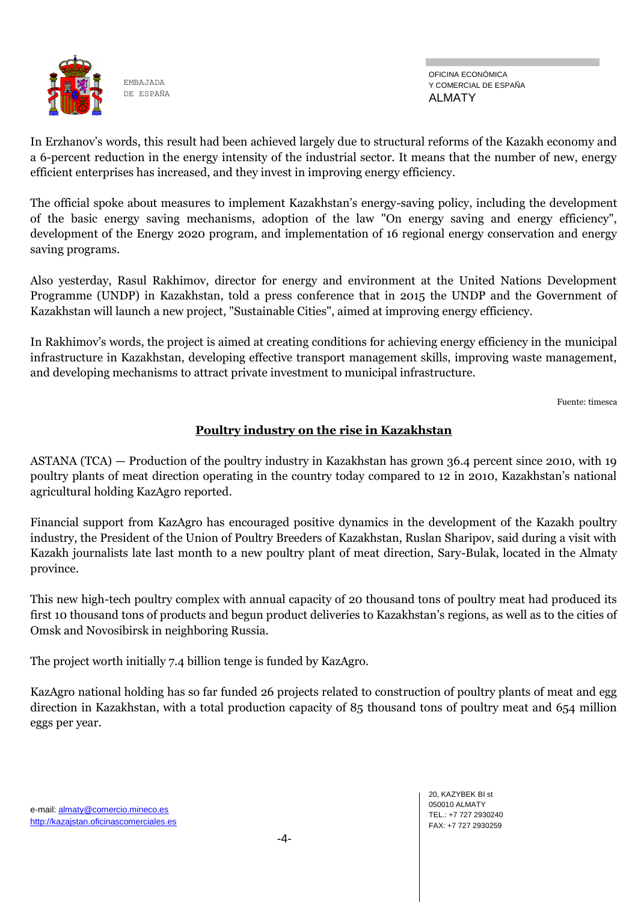

OFICINA ECONÓMICA Y COMERCIAL DE ESPAÑA ALMATY

In Erzhanov's words, this result had been achieved largely due to structural reforms of the Kazakh economy and a 6-percent reduction in the energy intensity of the industrial sector. It means that the number of new, energy efficient enterprises has increased, and they invest in improving energy efficiency.

The official spoke about measures to implement Kazakhstan's energy-saving policy, including the development of the basic energy saving mechanisms, adoption of the law "On energy saving and energy efficiency", development of the Energy 2020 program, and implementation of 16 regional energy conservation and energy saving programs.

Also yesterday, Rasul Rakhimov, director for energy and environment at the United Nations Development Programme (UNDP) in Kazakhstan, told a press conference that in 2015 the UNDP and the Government of Kazakhstan will launch a new project, "Sustainable Cities", aimed at improving energy efficiency.

In Rakhimov's words, the project is aimed at creating conditions for achieving energy efficiency in the municipal infrastructure in Kazakhstan, developing effective transport management skills, improving waste management, and developing mechanisms to attract private investment to municipal infrastructure.

Fuente: timesca

## **Poultry industry on the rise in Kazakhstan**

ASTANA (TCA) — Production of the poultry industry in Kazakhstan has grown 36.4 percent since 2010, with 19 poultry plants of meat direction operating in the country today compared to 12 in 2010, Kazakhstan's national agricultural holding KazAgro reported.

Financial support from KazAgro has encouraged positive dynamics in the development of the Kazakh poultry industry, the President of the Union of Poultry Breeders of Kazakhstan, Ruslan Sharipov, said during a visit with Kazakh journalists late last month to a new poultry plant of meat direction, Sary-Bulak, located in the Almaty province.

This new high-tech poultry complex with annual capacity of 20 thousand tons of poultry meat had produced its first 10 thousand tons of products and begun product deliveries to Kazakhstan's regions, as well as to the cities of Omsk and Novosibirsk in neighboring Russia.

The project worth initially 7.4 billion tenge is funded by KazAgro.

KazAgro national holding has so far funded 26 projects related to construction of poultry plants of meat and egg direction in Kazakhstan, with a total production capacity of 85 thousand tons of poultry meat and 654 million eggs per year.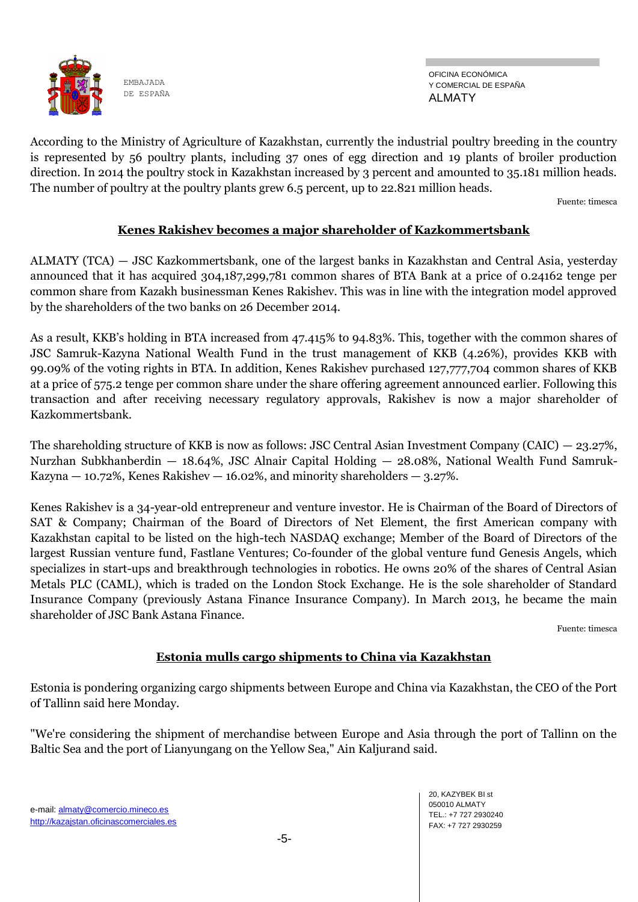

OFICINA ECONÓMICA Y COMERCIAL DE ESPAÑA ALMATY

According to the Ministry of Agriculture of Kazakhstan, currently the industrial poultry breeding in the country is represented by 56 poultry plants, including 37 ones of egg direction and 19 plants of broiler production direction. In 2014 the poultry stock in Kazakhstan increased by 3 percent and amounted to 35.181 million heads. The number of poultry at the poultry plants grew 6.5 percent, up to 22.821 million heads.

Fuente: timesca

#### **Kenes Rakishev becomes a major shareholder of Kazkommertsbank**

ALMATY (TCA) — JSC Kazkommertsbank, one of the largest banks in Kazakhstan and Central Asia, yesterday announced that it has acquired 304,187,299,781 common shares of BTA Bank at a price of 0.24162 tenge per common share from Kazakh businessman Kenes Rakishev. This was in line with the integration model approved by the shareholders of the two banks on 26 December 2014.

As a result, KKB's holding in BTA increased from 47.415% to 94.83%. This, together with the common shares of JSC Samruk-Kazyna National Wealth Fund in the trust management of KKB (4.26%), provides KKB with 99.09% of the voting rights in BTA. In addition, Kenes Rakishev purchased 127,777,704 common shares of KKB at a price of 575.2 tenge per common share under the share offering agreement announced earlier. Following this transaction and after receiving necessary regulatory approvals, Rakishev is now a major shareholder of Kazkommertsbank.

The shareholding structure of KKB is now as follows: JSC Central Asian Investment Company (CAIC) — 23.27%, Nurzhan Subkhanberdin — 18.64%, JSC Alnair Capital Holding — 28.08%, National Wealth Fund Samruk-Kazyna  $-$  10.72%, Kenes Rakishev  $-$  16.02%, and minority shareholders  $-$  3.27%.

Kenes Rakishev is a 34-year-old entrepreneur and venture investor. He is Chairman of the Board of Directors of SAT & Company; Chairman of the Board of Directors of Net Element, the first American company with Kazakhstan capital to be listed on the high-tech NASDAQ exchange; Member of the Board of Directors of the largest Russian venture fund, Fastlane Ventures; Co-founder of the global venture fund Genesis Angels, which specializes in start-ups and breakthrough technologies in robotics. He owns 20% of the shares of Central Asian Metals PLC (CAML), which is traded on the London Stock Exchange. He is the sole shareholder of Standard Insurance Company (previously Astana Finance Insurance Company). In March 2013, he became the main shareholder of JSC Bank Astana Finance.

Fuente: timesca

#### **Estonia mulls cargo shipments to China via Kazakhstan**

Estonia is pondering organizing cargo shipments between Europe and China via Kazakhstan, the CEO of the Port of Tallinn said here Monday.

"We're considering the shipment of merchandise between Europe and Asia through the port of Tallinn on the Baltic Sea and the port of Lianyungang on the Yellow Sea," Ain Kaljurand said.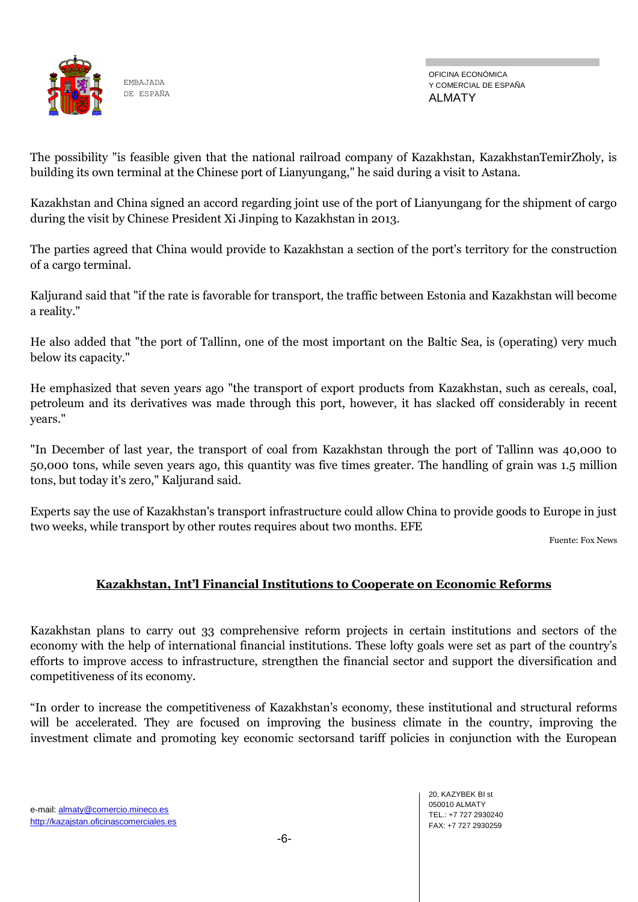

The possibility "is feasible given that the national railroad company of Kazakhstan, KazakhstanTemirZholy, is building its own terminal at the Chinese port of Lianyungang," he said during a visit to Astana.

Kazakhstan and China signed an accord regarding joint use of the port of Lianyungang for the shipment of cargo during the visit by Chinese President Xi Jinping to Kazakhstan in 2013.

The parties agreed that China would provide to Kazakhstan a section of the port's territory for the construction of a cargo terminal.

Kaljurand said that "if the rate is favorable for transport, the traffic between Estonia and Kazakhstan will become a reality."

He also added that "the port of Tallinn, one of the most important on the Baltic Sea, is (operating) very much below its capacity."

He emphasized that seven years ago "the transport of export products from Kazakhstan, such as cereals, coal, petroleum and its derivatives was made through this port, however, it has slacked off considerably in recent years."

"In December of last year, the transport of coal from Kazakhstan through the port of Tallinn was 40,000 to 50,000 tons, while seven years ago, this quantity was five times greater. The handling of grain was 1.5 million tons, but today it's zero," Kaljurand said.

Experts say the use of Kazakhstan's transport infrastructure could allow China to provide goods to Europe in just two weeks, while transport by other routes requires about two months. EFE

Fuente: Fox News

#### **Kazakhstan, Int'l Financial Institutions to Cooperate on Economic Reforms**

Kazakhstan plans to carry out 33 comprehensive reform projects in certain institutions and sectors of the economy with the help of international financial institutions. These lofty goals were set as part of the country's efforts to improve access to infrastructure, strengthen the financial sector and support the diversification and competitiveness of its economy.

"In order to increase the competitiveness of Kazakhstan's economy, these institutional and structural reforms will be accelerated. They are focused on improving the business climate in the country, improving the investment climate and promoting key economic sectorsand tariff policies in conjunction with the European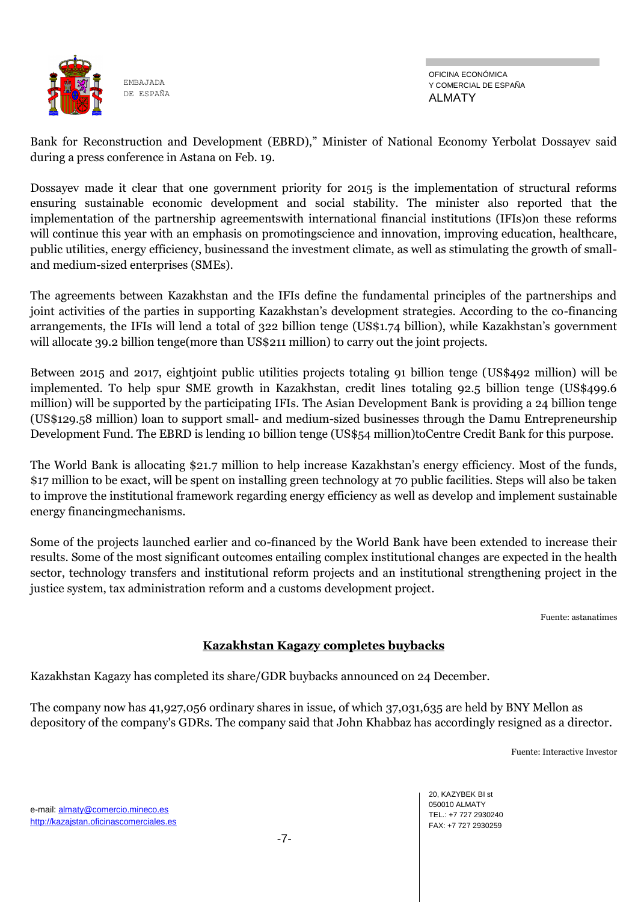

Bank for Reconstruction and Development (EBRD)," Minister of National Economy Yerbolat Dossayev said during a press conference in Astana on Feb. 19.

Dossayev made it clear that one government priority for 2015 is the implementation of structural reforms ensuring sustainable economic development and social stability. The minister also reported that the implementation of the partnership agreementswith international financial institutions (IFIs)on these reforms will continue this year with an emphasis on promotingscience and innovation, improving education, healthcare, public utilities, energy efficiency, businessand the investment climate, as well as stimulating the growth of smalland medium-sized enterprises (SMEs).

The agreements between Kazakhstan and the IFIs define the fundamental principles of the partnerships and joint activities of the parties in supporting Kazakhstan's development strategies. According to the co-financing arrangements, the IFIs will lend a total of 322 billion tenge (US\$1.74 billion), while Kazakhstan's government will allocate 39.2 billion tenge(more than US\$211 million) to carry out the joint projects.

Between 2015 and 2017, eightjoint public utilities projects totaling 91 billion tenge (US\$492 million) will be implemented. To help spur SME growth in Kazakhstan, credit lines totaling 92.5 billion tenge (US\$499.6 million) will be supported by the participating IFIs. The Asian Development Bank is providing a 24 billion tenge (US\$129.58 million) loan to support small- and medium-sized businesses through the Damu Entrepreneurship Development Fund. The EBRD is lending 10 billion tenge (US\$54 million)toCentre Credit Bank for this purpose.

The World Bank is allocating \$21.7 million to help increase Kazakhstan's energy efficiency. Most of the funds, \$17 million to be exact, will be spent on installing green technology at 70 public facilities. Steps will also be taken to improve the institutional framework regarding energy efficiency as well as develop and implement sustainable energy financingmechanisms.

Some of the projects launched earlier and co-financed by the World Bank have been extended to increase their results. Some of the most significant outcomes entailing complex institutional changes are expected in the health sector, technology transfers and institutional reform projects and an institutional strengthening project in the justice system, tax administration reform and a customs development project.

Fuente: astanatimes

## **Kazakhstan Kagazy completes buybacks**

Kazakhstan Kagazy has completed its share/GDR buybacks announced on 24 December.

The company now has 41,927,056 ordinary shares in issue, of which 37,031,635 are held by BNY Mellon as depository of the company's GDRs. The company said that John Khabbaz has accordingly resigned as a director.

Fuente: Interactive Investor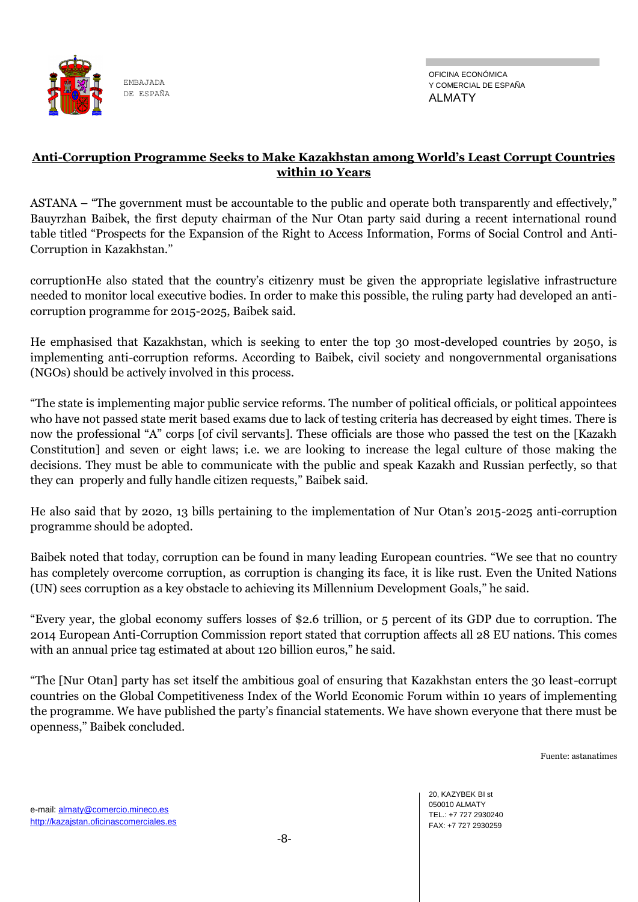

OFICINA ECONÓMICA Y COMERCIAL DE ESPAÑA ALMATY

## **Anti-Corruption Programme Seeks to Make Kazakhstan among World's Least Corrupt Countries within 10 Years**

ASTANA – "The government must be accountable to the public and operate both transparently and effectively," Bauyrzhan Baibek, the first deputy chairman of the Nur Otan party said during a recent international round table titled "Prospects for the Expansion of the Right to Access Information, Forms of Social Control and Anti-Corruption in Kazakhstan."

corruptionHe also stated that the country's citizenry must be given the appropriate legislative infrastructure needed to monitor local executive bodies. In order to make this possible, the ruling party had developed an anticorruption programme for 2015-2025, Baibek said.

He emphasised that Kazakhstan, which is seeking to enter the top 30 most-developed countries by 2050, is implementing anti-corruption reforms. According to Baibek, civil society and nongovernmental organisations (NGOs) should be actively involved in this process.

"The state is implementing major public service reforms. The number of political officials, or political appointees who have not passed state merit based exams due to lack of testing criteria has decreased by eight times. There is now the professional "A" corps [of civil servants]. These officials are those who passed the test on the [Kazakh Constitution] and seven or eight laws; i.e. we are looking to increase the legal culture of those making the decisions. They must be able to communicate with the public and speak Kazakh and Russian perfectly, so that they can properly and fully handle citizen requests," Baibek said.

He also said that by 2020, 13 bills pertaining to the implementation of Nur Otan's 2015-2025 anti-corruption programme should be adopted.

Baibek noted that today, corruption can be found in many leading European countries. "We see that no country has completely overcome corruption, as corruption is changing its face, it is like rust. Even the United Nations (UN) sees corruption as a key obstacle to achieving its Millennium Development Goals," he said.

"Every year, the global economy suffers losses of \$2.6 trillion, or 5 percent of its GDP due to corruption. The 2014 European Anti-Corruption Commission report stated that corruption affects all 28 EU nations. This comes with an annual price tag estimated at about 120 billion euros," he said.

"The [Nur Otan] party has set itself the ambitious goal of ensuring that Kazakhstan enters the 30 least-corrupt countries on the Global Competitiveness Index of the World Economic Forum within 10 years of implementing the programme. We have published the party's financial statements. We have shown everyone that there must be openness," Baibek concluded.

Fuente: astanatimes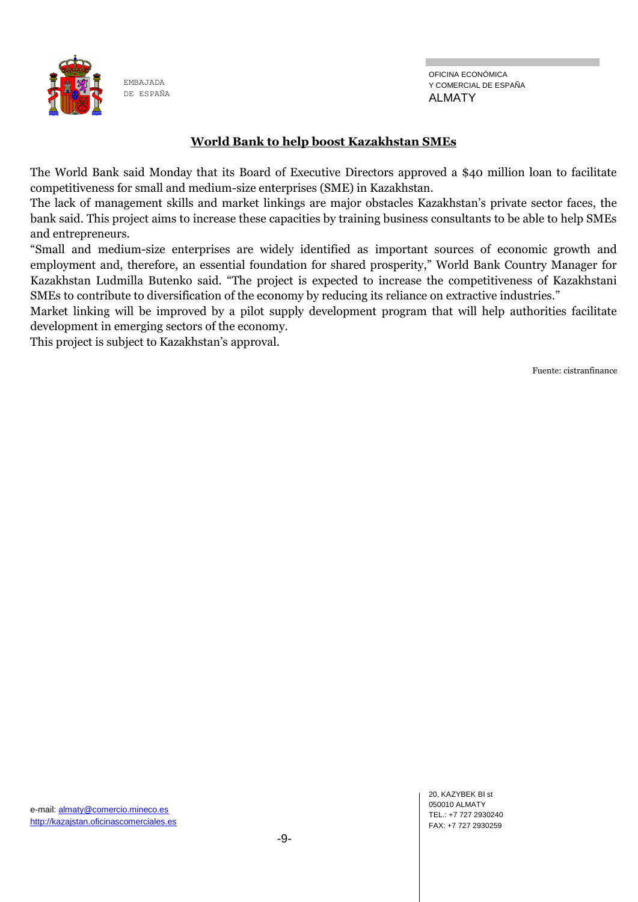

### **World Bank to help boost Kazakhstan SMEs**

The World Bank said Monday that its Board of Executive Directors approved a \$40 million loan to facilitate competitiveness for small and medium-size enterprises (SME) in Kazakhstan.

The lack of management skills and market linkings are major obstacles Kazakhstan's private sector faces, the bank said. This project aims to increase these capacities by training business consultants to be able to help SMEs and entrepreneurs.

"Small and medium-size enterprises are widely identified as important sources of economic growth and employment and, therefore, an essential foundation for shared prosperity," World Bank Country Manager for Kazakhstan Ludmilla Butenko said. "The project is expected to increase the competitiveness of Kazakhstani SMEs to contribute to diversification of the economy by reducing its reliance on extractive industries."

Market linking will be improved by a pilot supply development program that will help authorities facilitate development in emerging sectors of the economy.

This project is subject to Kazakhstan's approval.

Fuente: cistranfinance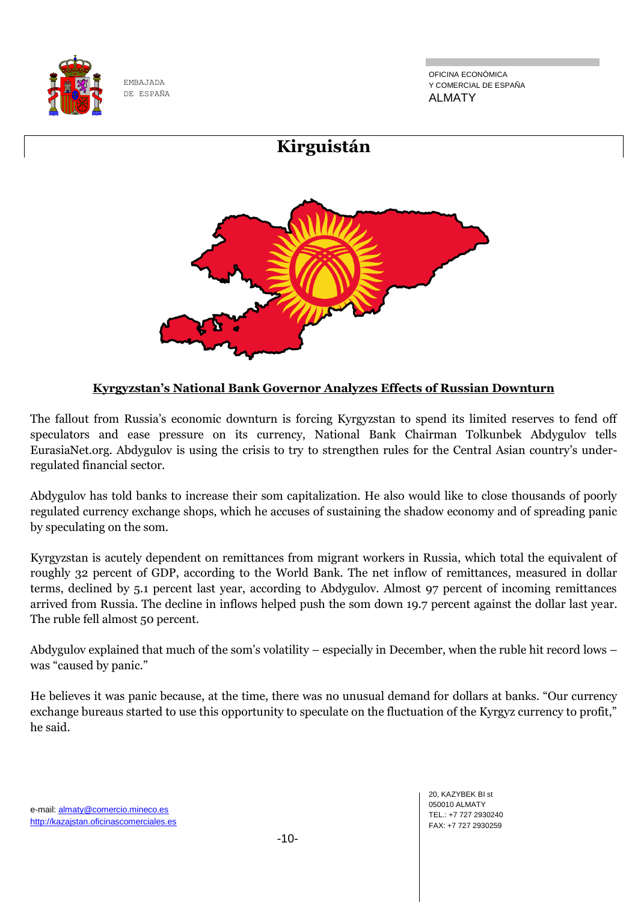

OFICINA ECONÓMICA Y COMERCIAL DE ESPAÑA ALMATY



## **Kyrgyzstan's National Bank Governor Analyzes Effects of Russian Downturn**

The fallout from Russia's economic downturn is forcing Kyrgyzstan to spend its limited reserves to fend off speculators and ease pressure on its currency, National Bank Chairman Tolkunbek Abdygulov tells EurasiaNet.org. Abdygulov is using the crisis to try to strengthen rules for the Central Asian country's underregulated financial sector.

Abdygulov has told banks to increase their som capitalization. He also would like to close thousands of poorly regulated currency exchange shops, which he accuses of sustaining the shadow economy and of spreading panic by speculating on the som.

Kyrgyzstan is acutely dependent on remittances from migrant workers in Russia, which total the equivalent of roughly 32 percent of GDP, according to the World Bank. The net inflow of remittances, measured in dollar terms, declined by 5.1 percent last year, according to Abdygulov. Almost 97 percent of incoming remittances arrived from Russia. The decline in inflows helped push the som down 19.7 percent against the dollar last year. The ruble fell almost 50 percent.

Abdygulov explained that much of the som's volatility – especially in December, when the ruble hit record lows – was "caused by panic."

He believes it was panic because, at the time, there was no unusual demand for dollars at banks. "Our currency exchange bureaus started to use this opportunity to speculate on the fluctuation of the Kyrgyz currency to profit," he said.

-10-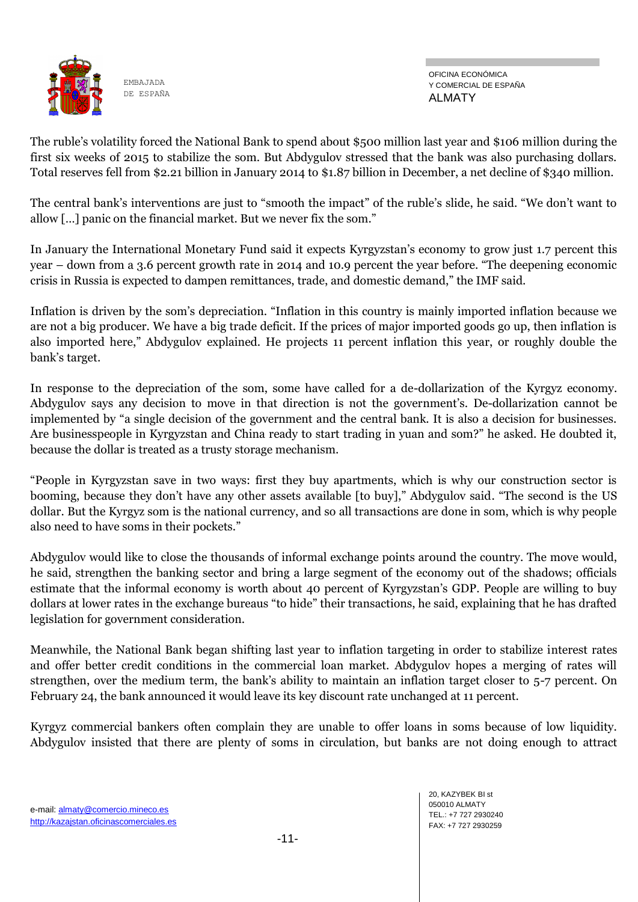

OFICINA ECONÓMICA Y COMERCIAL DE ESPAÑA ALMATY

The ruble's volatility forced the National Bank to spend about \$500 million last year and \$106 million during the first six weeks of 2015 to stabilize the som. But Abdygulov stressed that the bank was also purchasing dollars. Total reserves fell from \$2.21 billion in January 2014 to \$1.87 billion in December, a net decline of \$340 million.

The central bank's interventions are just to "smooth the impact" of the ruble's slide, he said. "We don't want to allow […] panic on the financial market. But we never fix the som."

In January the International Monetary Fund said it expects Kyrgyzstan's economy to grow just 1.7 percent this year – down from a 3.6 percent growth rate in 2014 and 10.9 percent the year before. "The deepening economic crisis in Russia is expected to dampen remittances, trade, and domestic demand," the IMF said.

Inflation is driven by the som's depreciation. "Inflation in this country is mainly imported inflation because we are not a big producer. We have a big trade deficit. If the prices of major imported goods go up, then inflation is also imported here," Abdygulov explained. He projects 11 percent inflation this year, or roughly double the bank's target.

In response to the depreciation of the som, some have called for a de-dollarization of the Kyrgyz economy. Abdygulov says any decision to move in that direction is not the government's. De-dollarization cannot be implemented by "a single decision of the government and the central bank. It is also a decision for businesses. Are businesspeople in Kyrgyzstan and China ready to start trading in yuan and som?" he asked. He doubted it, because the dollar is treated as a trusty storage mechanism.

"People in Kyrgyzstan save in two ways: first they buy apartments, which is why our construction sector is booming, because they don't have any other assets available [to buy]," Abdygulov said. "The second is the US dollar. But the Kyrgyz som is the national currency, and so all transactions are done in som, which is why people also need to have soms in their pockets."

Abdygulov would like to close the thousands of informal exchange points around the country. The move would, he said, strengthen the banking sector and bring a large segment of the economy out of the shadows; officials estimate that the informal economy is worth about 40 percent of Kyrgyzstan's GDP. People are willing to buy dollars at lower rates in the exchange bureaus "to hide" their transactions, he said, explaining that he has drafted legislation for government consideration.

Meanwhile, the National Bank began shifting last year to inflation targeting in order to stabilize interest rates and offer better credit conditions in the commercial loan market. Abdygulov hopes a merging of rates will strengthen, over the medium term, the bank's ability to maintain an inflation target closer to 5-7 percent. On February 24, the bank announced it would leave its key discount rate unchanged at 11 percent.

Kyrgyz commercial bankers often complain they are unable to offer loans in soms because of low liquidity. Abdygulov insisted that there are plenty of soms in circulation, but banks are not doing enough to attract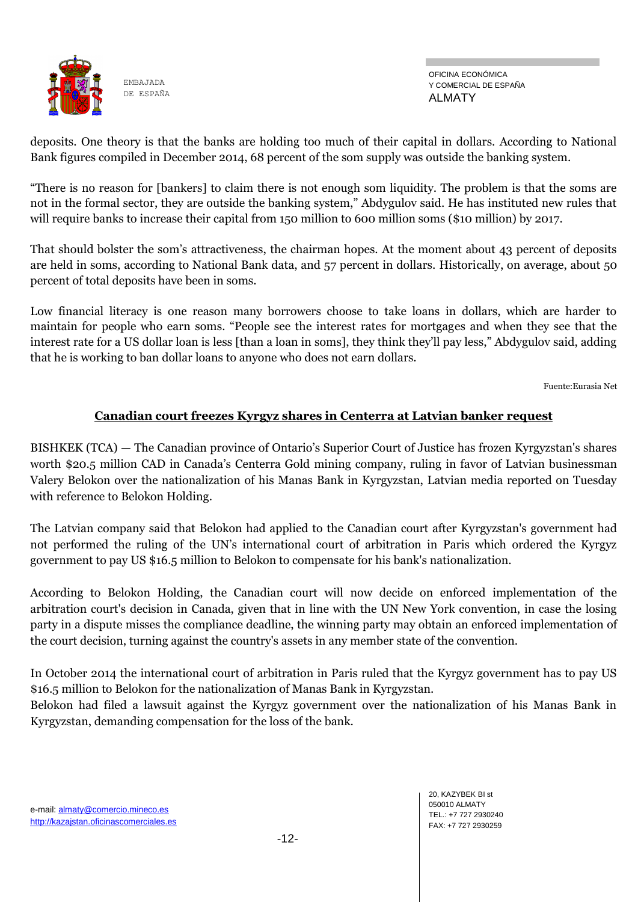

OFICINA ECONÓMICA Y COMERCIAL DE ESPAÑA ALMATY

deposits. One theory is that the banks are holding too much of their capital in dollars. According to National Bank figures compiled in December 2014, 68 percent of the som supply was outside the banking system.

"There is no reason for [bankers] to claim there is not enough som liquidity. The problem is that the soms are not in the formal sector, they are outside the banking system," Abdygulov said. He has instituted new rules that will require banks to increase their capital from 150 million to 600 million soms (\$10 million) by 2017.

That should bolster the som's attractiveness, the chairman hopes. At the moment about 43 percent of deposits are held in soms, according to National Bank data, and 57 percent in dollars. Historically, on average, about 50 percent of total deposits have been in soms.

Low financial literacy is one reason many borrowers choose to take loans in dollars, which are harder to maintain for people who earn soms. "People see the interest rates for mortgages and when they see that the interest rate for a US dollar loan is less [than a loan in soms], they think they'll pay less," Abdygulov said, adding that he is working to ban dollar loans to anyone who does not earn dollars.

Fuente:Eurasia Net

#### **Canadian court freezes Kyrgyz shares in Centerra at Latvian banker request**

BISHKEK (TCA) — The Canadian province of Ontario's Superior Court of Justice has frozen Kyrgyzstan's shares worth \$20.5 million CAD in Canada's Centerra Gold mining company, ruling in favor of Latvian businessman Valery Belokon over the nationalization of his Manas Bank in Kyrgyzstan, Latvian media reported on Tuesday with reference to Belokon Holding.

The Latvian company said that Belokon had applied to the Canadian court after Kyrgyzstan's government had not performed the ruling of the UN's international court of arbitration in Paris which ordered the Kyrgyz government to pay US \$16.5 million to Belokon to compensate for his bank's nationalization.

According to Belokon Holding, the Canadian court will now decide on enforced implementation of the arbitration court's decision in Canada, given that in line with the UN New York convention, in case the losing party in a dispute misses the compliance deadline, the winning party may obtain an enforced implementation of the court decision, turning against the country's assets in any member state of the convention.

In October 2014 the international court of arbitration in Paris ruled that the Kyrgyz government has to pay US \$16.5 million to Belokon for the nationalization of Manas Bank in Kyrgyzstan.

Belokon had filed a lawsuit against the Kyrgyz government over the nationalization of his Manas Bank in Kyrgyzstan, demanding compensation for the loss of the bank.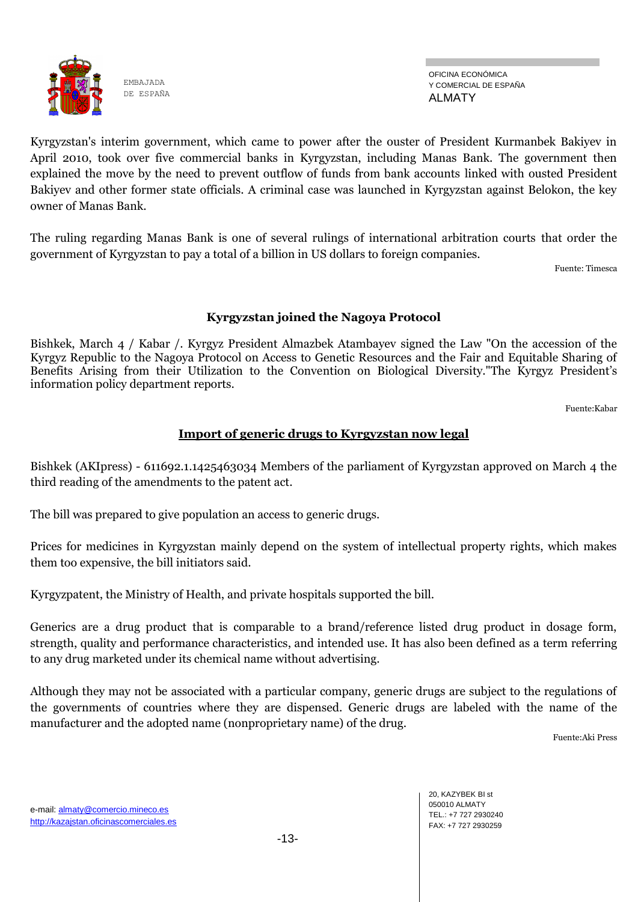

OFICINA ECONÓMICA Y COMERCIAL DE ESPAÑA ALMATY

Kyrgyzstan's interim government, which came to power after the ouster of President Kurmanbek Bakiyev in April 2010, took over five commercial banks in Kyrgyzstan, including Manas Bank. The government then explained the move by the need to prevent outflow of funds from bank accounts linked with ousted President Bakiyev and other former state officials. A criminal case was launched in Kyrgyzstan against Belokon, the key owner of Manas Bank.

The ruling regarding Manas Bank is one of several rulings of international arbitration courts that order the government of Kyrgyzstan to pay a total of a billion in US dollars to foreign companies.

Fuente: Timesca

#### **Kyrgyzstan joined the Nagoya Protocol**

Bishkek, March 4 / Kabar /. Kyrgyz President Almazbek Atambayev signed the Law "On the accession of the Kyrgyz Republic to the Nagoya Protocol on Access to Genetic Resources and the Fair and Equitable Sharing of Benefits Arising from their Utilization to the Convention on Biological Diversity."The Kyrgyz President's information policy department reports.

Fuente:Kabar

## **Import of generic drugs to Kyrgyzstan now legal**

Bishkek (AKIpress) - 611692.1.1425463034 Members of the parliament of Kyrgyzstan approved on March 4 the third reading of the amendments to the patent act.

The bill was prepared to give population an access to generic drugs.

Prices for medicines in Kyrgyzstan mainly depend on the system of intellectual property rights, which makes them too expensive, the bill initiators said.

Kyrgyzpatent, the Ministry of Health, and private hospitals supported the bill.

Generics are a drug product that is comparable to a brand/reference listed drug product in dosage form, strength, quality and performance characteristics, and intended use. It has also been defined as a term referring to any drug marketed under its chemical name without advertising.

Although they may not be associated with a particular company, generic drugs are subject to the regulations of the governments of countries where they are dispensed. Generic drugs are labeled with the name of the manufacturer and the adopted name (nonproprietary name) of the drug.

Fuente:Aki Press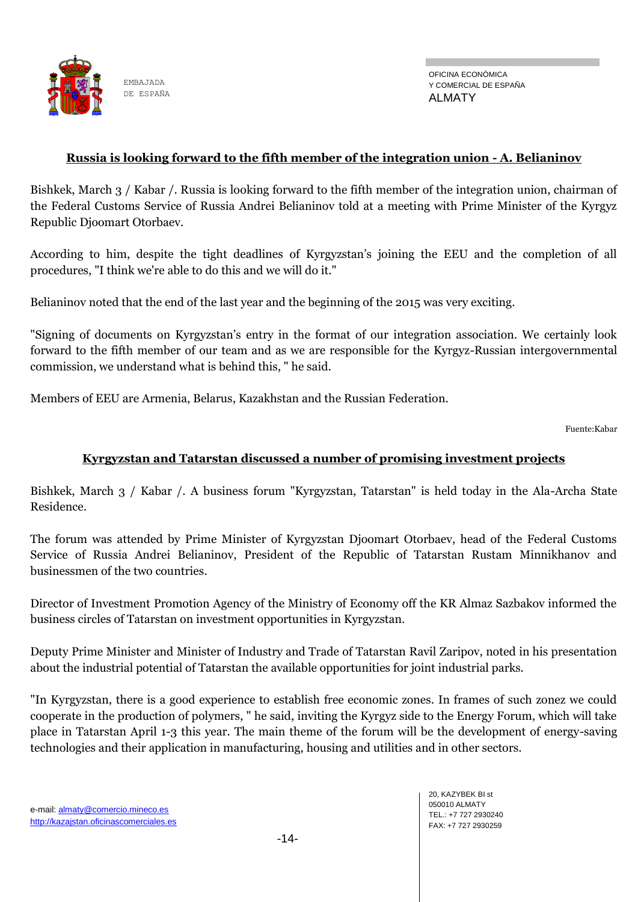

#### **Russia is looking forward to the fifth member of the integration union - A. Belianinov**

Bishkek, March 3 / Kabar /. Russia is looking forward to the fifth member of the integration union, chairman of the Federal Customs Service of Russia Andrei Belianinov told at a meeting with Prime Minister of the Kyrgyz Republic Djoomart Otorbaev.

According to him, despite the tight deadlines of Kyrgyzstan's joining the EEU and the completion of all procedures, "I think we're able to do this and we will do it."

Belianinov noted that the end of the last year and the beginning of the 2015 was very exciting.

"Signing of documents on Kyrgyzstan's entry in the format of our integration association. We certainly look forward to the fifth member of our team and as we are responsible for the Kyrgyz-Russian intergovernmental commission, we understand what is behind this, " he said.

Members of EEU are Armenia, Belarus, Kazakhstan and the Russian Federation.

Fuente:Kabar

#### **Kyrgyzstan and Tatarstan discussed a number of promising investment projects**

Bishkek, March 3 / Kabar /. A business forum "Kyrgyzstan, Tatarstan" is held today in the Ala-Archa State Residence.

The forum was attended by Prime Minister of Kyrgyzstan Djoomart Otorbaev, head of the Federal Customs Service of Russia Andrei Belianinov, President of the Republic of Tatarstan Rustam Minnikhanov and businessmen of the two countries.

Director of Investment Promotion Agency of the Ministry of Economy off the KR Almaz Sazbakov informed the business circles of Tatarstan on investment opportunities in Kyrgyzstan.

Deputy Prime Minister and Minister of Industry and Trade of Tatarstan Ravil Zaripov, noted in his presentation about the industrial potential of Tatarstan the available opportunities for joint industrial parks.

"In Kyrgyzstan, there is a good experience to establish free economic zones. In frames of such zonez we could cooperate in the production of polymers, " he said, inviting the Kyrgyz side to the Energy Forum, which will take place in Tatarstan April 1-3 this year. The main theme of the forum will be the development of energy-saving technologies and their application in manufacturing, housing and utilities and in other sectors.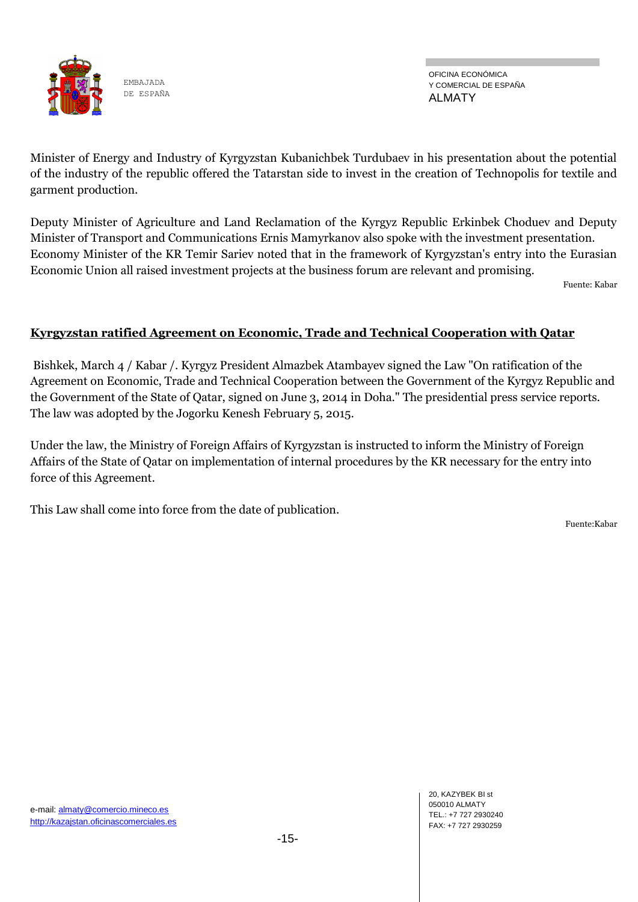

OFICINA ECONÓMICA Y COMERCIAL DE ESPAÑA ALMATY

Minister of Energy and Industry of Kyrgyzstan Kubanichbek Turdubaev in his presentation about the potential of the industry of the republic offered the Tatarstan side to invest in the creation of Technopolis for textile and garment production.

Deputy Minister of Agriculture and Land Reclamation of the Kyrgyz Republic Erkinbek Choduev and Deputy Minister of Transport and Communications Ernis Mamyrkanov also spoke with the investment presentation. Economy Minister of the KR Temir Sariev noted that in the framework of Kyrgyzstan's entry into the Eurasian Economic Union all raised investment projects at the business forum are relevant and promising.

Fuente: Kabar

## **Kyrgyzstan ratified Agreement on Economic, Trade and Technical Cooperation with Qatar**

Bishkek, March 4 / Kabar /. Kyrgyz President Almazbek Atambayev signed the Law "On ratification of the Agreement on Economic, Trade and Technical Cooperation between the Government of the Kyrgyz Republic and the Government of the State of Qatar, signed on June 3, 2014 in Doha." The presidential press service reports. The law was adopted by the Jogorku Kenesh February 5, 2015.

Under the law, the Ministry of Foreign Affairs of Kyrgyzstan is instructed to inform the Ministry of Foreign Affairs of the State of Qatar on implementation of internal procedures by the KR necessary for the entry into force of this Agreement.

This Law shall come into force from the date of publication.

Fuente:Kabar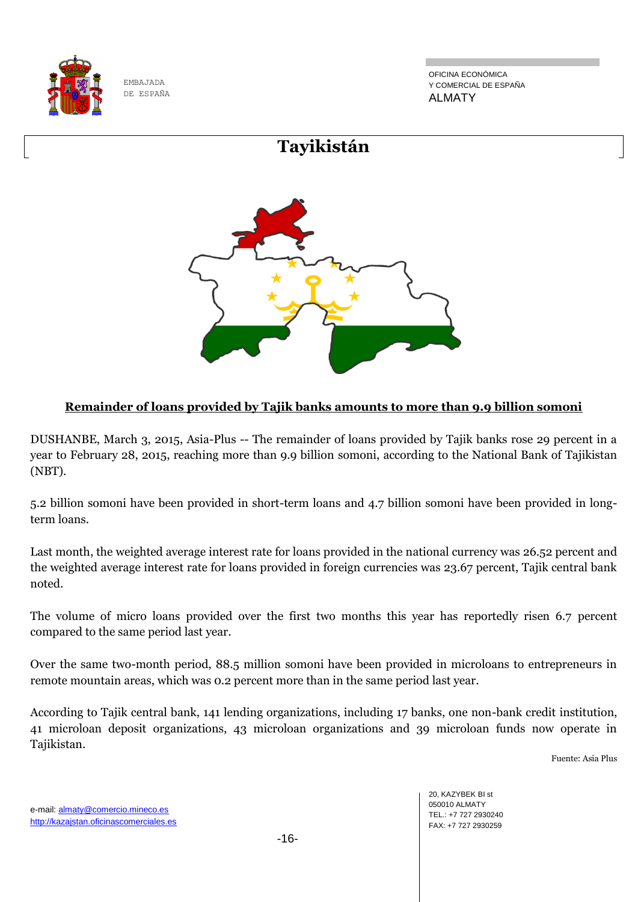

OFICINA ECONÓMICA Y COMERCIAL DE ESPAÑA ALMATY



## **Remainder of loans provided by Tajik banks amounts to more than 9.9 billion somoni**

DUSHANBE, March 3, 2015, Asia-Plus -- The remainder of loans provided by Tajik banks rose 29 percent in a year to February 28, 2015, reaching more than 9.9 billion somoni, according to the National Bank of Tajikistan (NBT).

5.2 billion somoni have been provided in short-term loans and 4.7 billion somoni have been provided in longterm loans.

Last month, the weighted average interest rate for loans provided in the national currency was 26.52 percent and the weighted average interest rate for loans provided in foreign currencies was 23.67 percent, Tajik central bank noted.

The volume of micro loans provided over the first two months this year has reportedly risen 6.7 percent compared to the same period last year.

Over the same two-month period, 88.5 million somoni have been provided in microloans to entrepreneurs in remote mountain areas, which was 0.2 percent more than in the same period last year.

According to Tajik central bank, 141 lending organizations, including 17 banks, one non-bank credit institution, 41 microloan deposit organizations, 43 microloan organizations and 39 microloan funds now operate in Tajikistan.

Fuente: Asia Plus

e-mail: almaty@comercio.mineco.es http://kazajstan.oficinascomerciales.es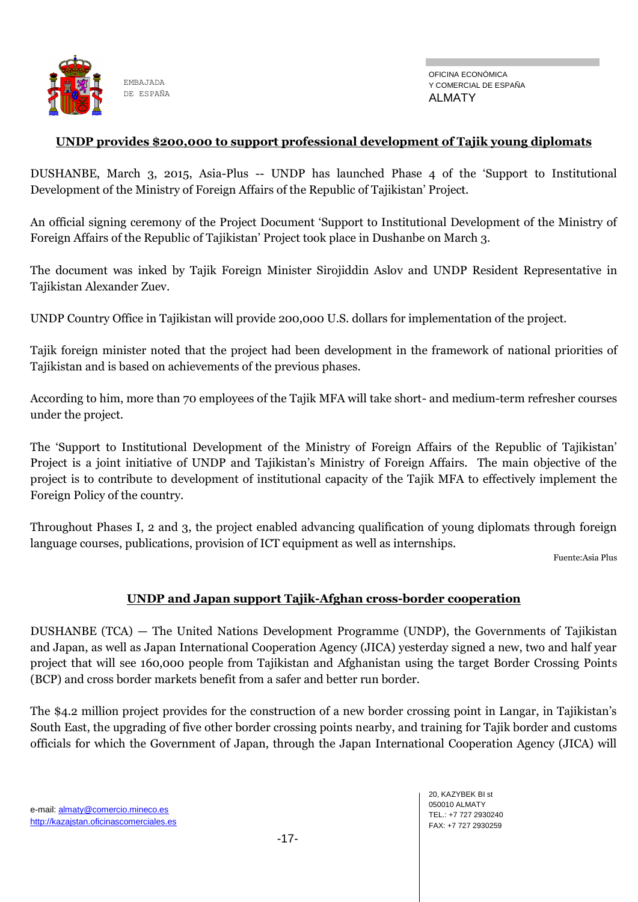

#### **UNDP provides \$200,000 to support professional development of Tajik young diplomats**

DUSHANBE, March 3, 2015, Asia-Plus -- UNDP has launched Phase 4 of the 'Support to Institutional Development of the Ministry of Foreign Affairs of the Republic of Tajikistan' Project.

An official signing ceremony of the Project Document 'Support to Institutional Development of the Ministry of Foreign Affairs of the Republic of Tajikistan' Project took place in Dushanbe on March 3.

The document was inked by Tajik Foreign Minister Sirojiddin Aslov and UNDP Resident Representative in Tajikistan Alexander Zuev.

UNDP Country Office in Tajikistan will provide 200,000 U.S. dollars for implementation of the project.

Tajik foreign minister noted that the project had been development in the framework of national priorities of Tajikistan and is based on achievements of the previous phases.

According to him, more than 70 employees of the Tajik MFA will take short- and medium-term refresher courses under the project.

The 'Support to Institutional Development of the Ministry of Foreign Affairs of the Republic of Tajikistan' Project is a joint initiative of UNDP and Tajikistan's Ministry of Foreign Affairs. The main objective of the project is to contribute to development of institutional capacity of the Tajik MFA to effectively implement the Foreign Policy of the country.

Throughout Phases I, 2 and 3, the project enabled advancing qualification of young diplomats through foreign language courses, publications, provision of ICT equipment as well as internships.

Fuente:Asia Plus

#### **UNDP and Japan support Tajik-Afghan cross-border cooperation**

DUSHANBE (TCA) — The United Nations Development Programme (UNDP), the Governments of Tajikistan and Japan, as well as Japan International Cooperation Agency (JICA) yesterday signed a new, two and half year project that will see 160,000 people from Tajikistan and Afghanistan using the target Border Crossing Points (BCP) and cross border markets benefit from a safer and better run border.

The \$4.2 million project provides for the construction of a new border crossing point in Langar, in Tajikistan's South East, the upgrading of five other border crossing points nearby, and training for Tajik border and customs officials for which the Government of Japan, through the Japan International Cooperation Agency (JICA) will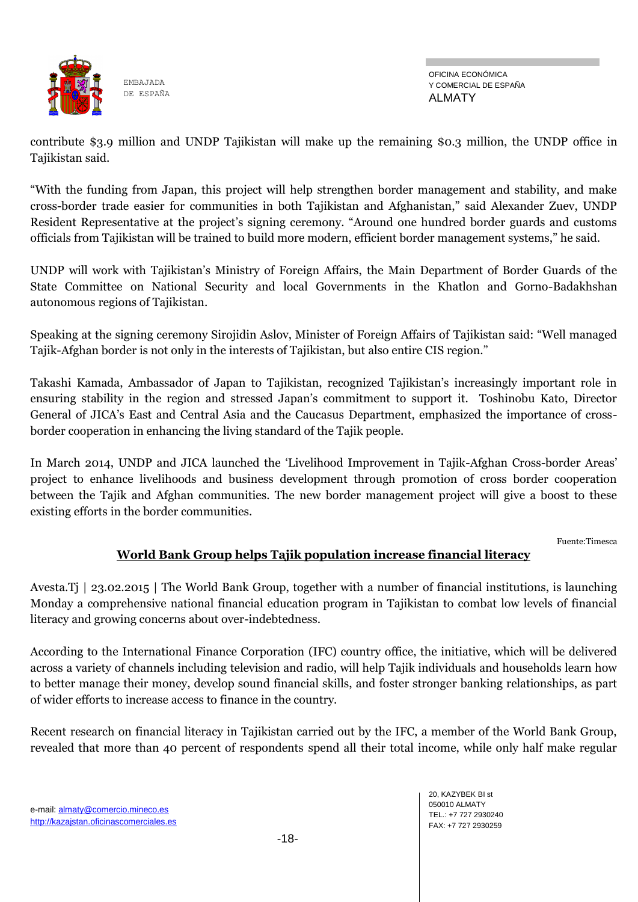

contribute \$3.9 million and UNDP Tajikistan will make up the remaining \$0.3 million, the UNDP office in Tajikistan said.

"With the funding from Japan, this project will help strengthen border management and stability, and make cross-border trade easier for communities in both Tajikistan and Afghanistan," said Alexander Zuev, UNDP Resident Representative at the project's signing ceremony. "Around one hundred border guards and customs officials from Tajikistan will be trained to build more modern, efficient border management systems," he said.

UNDP will work with Tajikistan's Ministry of Foreign Affairs, the Main Department of Border Guards of the State Committee on National Security and local Governments in the Khatlon and Gorno-Badakhshan autonomous regions of Tajikistan.

Speaking at the signing ceremony Sirojidin Aslov, Minister of Foreign Affairs of Tajikistan said: "Well managed Tajik-Afghan border is not only in the interests of Tajikistan, but also entire CIS region."

Takashi Kamada, Ambassador of Japan to Tajikistan, recognized Tajikistan's increasingly important role in ensuring stability in the region and stressed Japan's commitment to support it. Toshinobu Kato, Director General of JICA's East and Central Asia and the Caucasus Department, emphasized the importance of crossborder cooperation in enhancing the living standard of the Tajik people.

In March 2014, UNDP and JICA launched the 'Livelihood Improvement in Tajik-Afghan Cross-border Areas' project to enhance livelihoods and business development through promotion of cross border cooperation between the Tajik and Afghan communities. The new border management project will give a boost to these existing efforts in the border communities.

Fuente:Timesca

## **World Bank Group helps Tajik population increase financial literacy**

Avesta.Tj | 23.02.2015 | The World Bank Group, together with a number of financial institutions, is launching Monday a comprehensive national financial education program in Tajikistan to combat low levels of financial literacy and growing concerns about over-indebtedness.

According to the International Finance Corporation (IFC) country office, the initiative, which will be delivered across a variety of channels including television and radio, will help Tajik individuals and households learn how to better manage their money, develop sound financial skills, and foster stronger banking relationships, as part of wider efforts to increase access to finance in the country.

Recent research on financial literacy in Tajikistan carried out by the IFC, a member of the World Bank Group, revealed that more than 40 percent of respondents spend all their total income, while only half make regular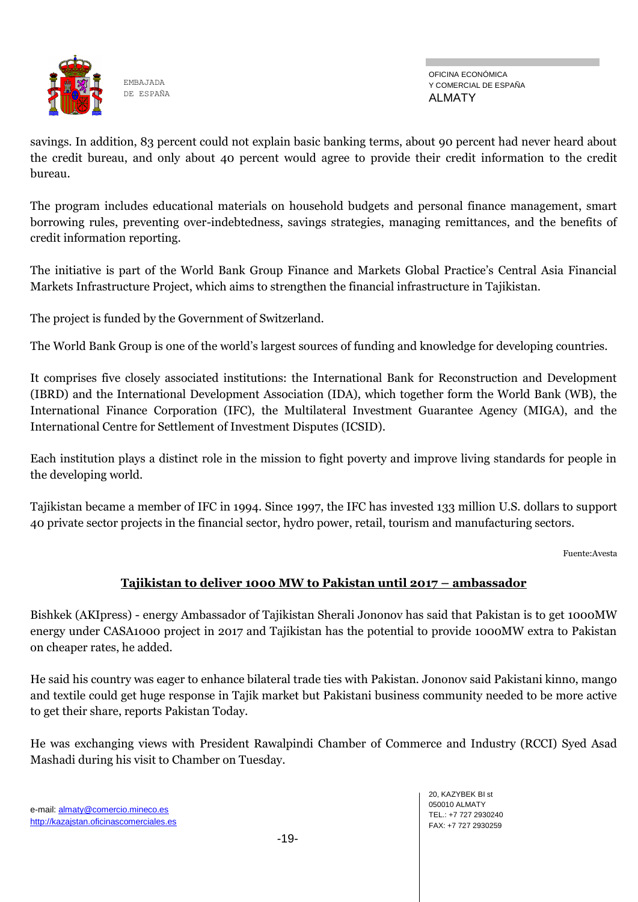

savings. In addition, 83 percent could not explain basic banking terms, about 90 percent had never heard about the credit bureau, and only about 40 percent would agree to provide their credit information to the credit bureau.

The program includes educational materials on household budgets and personal finance management, smart borrowing rules, preventing over-indebtedness, savings strategies, managing remittances, and the benefits of credit information reporting.

The initiative is part of the World Bank Group Finance and Markets Global Practice's Central Asia Financial Markets Infrastructure Project, which aims to strengthen the financial infrastructure in Tajikistan.

The project is funded by the Government of Switzerland.

The World Bank Group is one of the world's largest sources of funding and knowledge for developing countries.

It comprises five closely associated institutions: the International Bank for Reconstruction and Development (IBRD) and the International Development Association (IDA), which together form the World Bank (WB), the International Finance Corporation (IFC), the Multilateral Investment Guarantee Agency (MIGA), and the International Centre for Settlement of Investment Disputes (ICSID).

Each institution plays a distinct role in the mission to fight poverty and improve living standards for people in the developing world.

Tajikistan became a member of IFC in 1994. Since 1997, the IFC has invested 133 million U.S. dollars to support 40 private sector projects in the financial sector, hydro power, retail, tourism and manufacturing sectors.

Fuente:Avesta

## **Tajikistan to deliver 1000 MW to Pakistan until 2017 – ambassador**

Bishkek (AKIpress) - energy Ambassador of Tajikistan Sherali Jononov has said that Pakistan is to get 1000MW energy under CASA1000 project in 2017 and Tajikistan has the potential to provide 1000MW extra to Pakistan on cheaper rates, he added.

He said his country was eager to enhance bilateral trade ties with Pakistan. Jononov said Pakistani kinno, mango and textile could get huge response in Tajik market but Pakistani business community needed to be more active to get their share, reports Pakistan Today.

He was exchanging views with President Rawalpindi Chamber of Commerce and Industry (RCCI) Syed Asad Mashadi during his visit to Chamber on Tuesday.